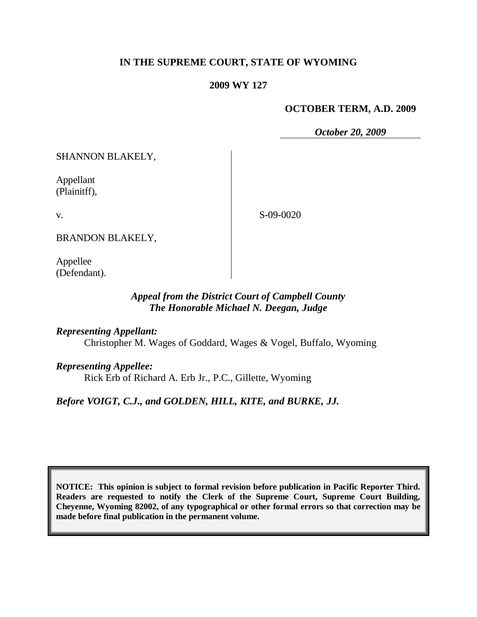# **IN THE SUPREME COURT, STATE OF WYOMING**

#### **2009 WY 127**

#### **OCTOBER TERM, A.D. 2009**

*October 20, 2009*

SHANNON BLAKELY,

Appellant (Plainitff),

v.

S-09-0020

BRANDON BLAKELY,

Appellee (Defendant).

# *Appeal from the District Court of Campbell County The Honorable Michael N. Deegan, Judge*

*Representing Appellant:*

Christopher M. Wages of Goddard, Wages & Vogel, Buffalo, Wyoming

*Representing Appellee:*

Rick Erb of Richard A. Erb Jr., P.C., Gillette, Wyoming

*Before VOIGT, C.J., and GOLDEN, HILL, KITE, and BURKE, JJ.*

**NOTICE: This opinion is subject to formal revision before publication in Pacific Reporter Third. Readers are requested to notify the Clerk of the Supreme Court, Supreme Court Building, Cheyenne, Wyoming 82002, of any typographical or other formal errors so that correction may be made before final publication in the permanent volume.**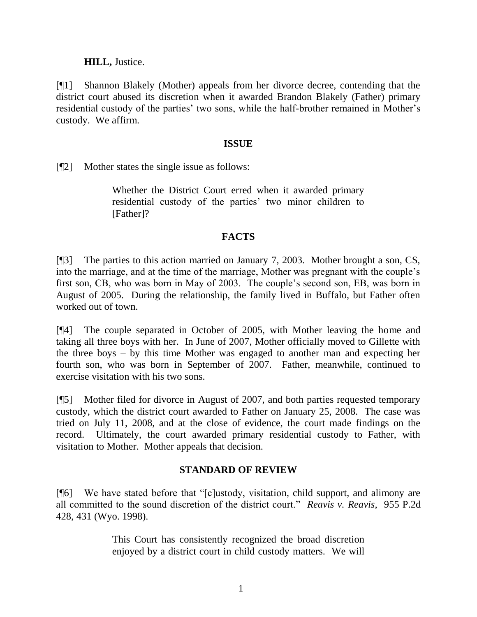# **HILL,** Justice.

[¶1] Shannon Blakely (Mother) appeals from her divorce decree, contending that the district court abused its discretion when it awarded Brandon Blakely (Father) primary residential custody of the parties' two sons, while the half-brother remained in Mother's custody. We affirm.

### **ISSUE**

[¶2] Mother states the single issue as follows:

Whether the District Court erred when it awarded primary residential custody of the parties' two minor children to [Father]?

# **FACTS**

[¶3] The parties to this action married on January 7, 2003. Mother brought a son, CS, into the marriage, and at the time of the marriage, Mother was pregnant with the couple's first son, CB, who was born in May of 2003. The couple's second son, EB, was born in August of 2005. During the relationship, the family lived in Buffalo, but Father often worked out of town.

[¶4] The couple separated in October of 2005, with Mother leaving the home and taking all three boys with her. In June of 2007, Mother officially moved to Gillette with the three boys – by this time Mother was engaged to another man and expecting her fourth son, who was born in September of 2007. Father, meanwhile, continued to exercise visitation with his two sons.

[¶5] Mother filed for divorce in August of 2007, and both parties requested temporary custody, which the district court awarded to Father on January 25, 2008. The case was tried on July 11, 2008, and at the close of evidence, the court made findings on the record. Ultimately, the court awarded primary residential custody to Father, with visitation to Mother. Mother appeals that decision.

# **STANDARD OF REVIEW**

[¶6] We have stated before that "[c]ustody, visitation, child support, and alimony are all committed to the sound discretion of the district court." *Reavis v. Reavis,* 955 P.2d 428, 431 (Wyo. 1998).

> This Court has consistently recognized the broad discretion enjoyed by a district court in child custody matters. We will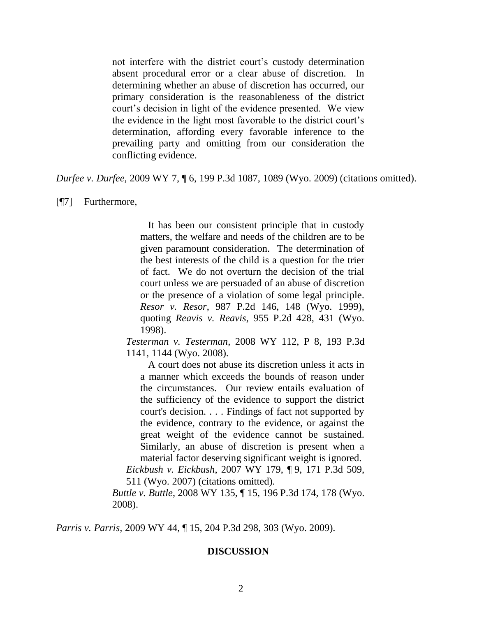not interfere with the district court's custody determination absent procedural error or a clear abuse of discretion. In determining whether an abuse of discretion has occurred, our primary consideration is the reasonableness of the district court's decision in light of the evidence presented. We view the evidence in the light most favorable to the district court's determination, affording every favorable inference to the prevailing party and omitting from our consideration the conflicting evidence.

*Durfee v. Durfee,* 2009 WY 7, ¶ 6, 199 P.3d 1087, 1089 (Wyo. 2009) (citations omitted).

[¶7] Furthermore,

 It has been our consistent principle that in custody matters, the welfare and needs of the children are to be given paramount consideration. The determination of the best interests of the child is a question for the trier of fact. We do not overturn the decision of the trial court unless we are persuaded of an abuse of discretion or the presence of a violation of some legal principle. *Resor v. Resor*, 987 P.2d 146, 148 (Wyo. 1999), quoting *Reavis v. Reavis*, 955 P.2d 428, 431 (Wyo. 1998).

*Testerman v. Testerman*, 2008 WY 112, P 8, 193 P.3d 1141, 1144 (Wyo. 2008).

 A court does not abuse its discretion unless it acts in a manner which exceeds the bounds of reason under the circumstances. Our review entails evaluation of the sufficiency of the evidence to support the district court's decision. . . . Findings of fact not supported by the evidence, contrary to the evidence, or against the great weight of the evidence cannot be sustained. Similarly, an abuse of discretion is present when a material factor deserving significant weight is ignored.

*Eickbush v. Eickbush*, 2007 WY 179, ¶ 9, 171 P.3d 509, 511 (Wyo. 2007) (citations omitted).

*Buttle v. Buttle*, 2008 WY 135, ¶ 15, 196 P.3d 174, 178 (Wyo. 2008).

*Parris v. Parris,* 2009 WY 44, ¶ 15, 204 P.3d 298, 303 (Wyo. 2009).

#### **DISCUSSION**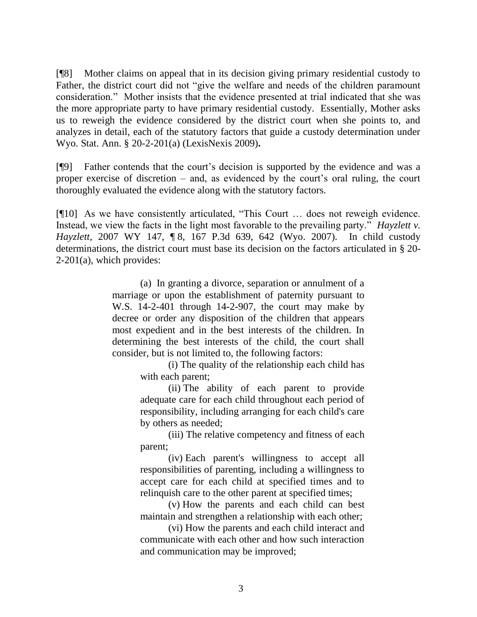[¶8] Mother claims on appeal that in its decision giving primary residential custody to Father, the district court did not "give the welfare and needs of the children paramount consideration." Mother insists that the evidence presented at trial indicated that she was the more appropriate party to have primary residential custody. Essentially, Mother asks us to reweigh the evidence considered by the district court when she points to, and analyzes in detail, each of the statutory factors that guide a custody determination under Wyo. Stat. Ann. § 20-2-201(a) (LexisNexis 2009)**.**

[¶9] Father contends that the court's decision is supported by the evidence and was a proper exercise of discretion – and, as evidenced by the court's oral ruling, the court thoroughly evaluated the evidence along with the statutory factors.

[¶10] As we have consistently articulated, "This Court … does not reweigh evidence. Instead, we view the facts in the light most favorable to the prevailing party." *Hayzlett v. Hayzlett,* 2007 WY 147, ¶ 8, 167 P.3d 639, 642 (Wyo. 2007).In child custody determinations, the district court must base its decision on the factors articulated in § 20- 2-201(a), which provides:

> (a) In granting a divorce, separation or annulment of a marriage or upon the establishment of paternity pursuant to W.S. 14-2-401 through 14-2-907, the court may make by decree or order any disposition of the children that appears most expedient and in the best interests of the children. In determining the best interests of the child, the court shall consider, but is not limited to, the following factors:

> > (i) The quality of the relationship each child has with each parent;

> > (ii) The ability of each parent to provide adequate care for each child throughout each period of responsibility, including arranging for each child's care by others as needed;

> > (iii) The relative competency and fitness of each parent;

> > (iv) Each parent's willingness to accept all responsibilities of parenting, including a willingness to accept care for each child at specified times and to relinquish care to the other parent at specified times;

> > (v) How the parents and each child can best maintain and strengthen a relationship with each other;

> > (vi) How the parents and each child interact and communicate with each other and how such interaction and communication may be improved;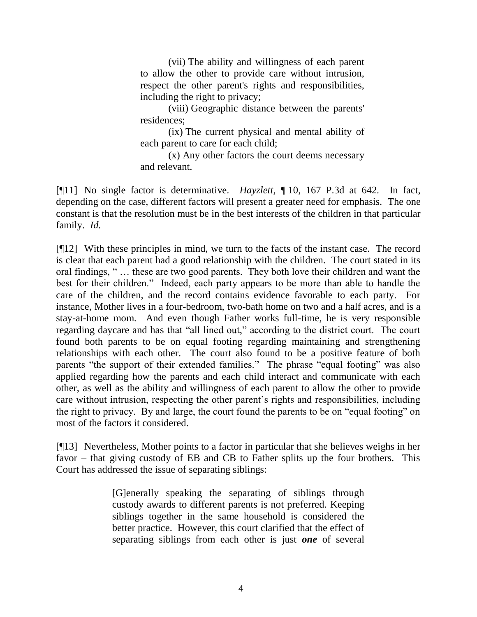(vii) The ability and willingness of each parent to allow the other to provide care without intrusion, respect the other parent's rights and responsibilities, including the right to privacy;

(viii) Geographic distance between the parents' residences;

(ix) The current physical and mental ability of each parent to care for each child;

(x) Any other factors the court deems necessary and relevant.

[¶11] No single factor is determinative. *Hayzlett,* ¶ 10, 167 P.3d at 642*.* In fact, depending on the case, different factors will present a greater need for emphasis. The one constant is that the resolution must be in the best interests of the children in that particular family. *Id.*

[¶12] With these principles in mind, we turn to the facts of the instant case. The record is clear that each parent had a good relationship with the children. The court stated in its oral findings, " … these are two good parents. They both love their children and want the best for their children." Indeed, each party appears to be more than able to handle the care of the children, and the record contains evidence favorable to each party. For instance, Mother lives in a four-bedroom, two-bath home on two and a half acres, and is a stay-at-home mom. And even though Father works full-time, he is very responsible regarding daycare and has that "all lined out," according to the district court. The court found both parents to be on equal footing regarding maintaining and strengthening relationships with each other. The court also found to be a positive feature of both parents "the support of their extended families." The phrase "equal footing" was also applied regarding how the parents and each child interact and communicate with each other, as well as the ability and willingness of each parent to allow the other to provide care without intrusion, respecting the other parent's rights and responsibilities, including the right to privacy. By and large, the court found the parents to be on "equal footing" on most of the factors it considered.

[¶13] Nevertheless, Mother points to a factor in particular that she believes weighs in her favor – that giving custody of EB and CB to Father splits up the four brothers. This Court has addressed the issue of separating siblings:

> [G]enerally speaking the separating of siblings through custody awards to different parents is not preferred. Keeping siblings together in the same household is considered the better practice. However, this court clarified that the effect of separating siblings from each other is just *one* of several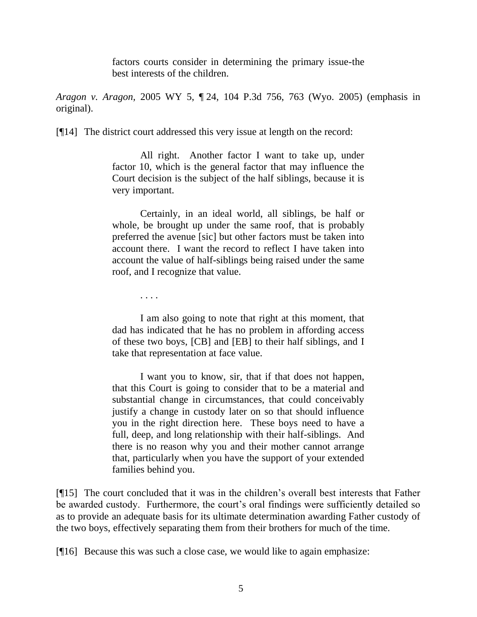factors courts consider in determining the primary issue-the best interests of the children.

*Aragon v. Aragon,* 2005 WY 5, ¶ 24, 104 P.3d 756, 763 (Wyo. 2005) (emphasis in original).

[¶14] The district court addressed this very issue at length on the record:

All right. Another factor I want to take up, under factor 10, which is the general factor that may influence the Court decision is the subject of the half siblings, because it is very important.

Certainly, in an ideal world, all siblings, be half or whole, be brought up under the same roof, that is probably preferred the avenue [sic] but other factors must be taken into account there. I want the record to reflect I have taken into account the value of half-siblings being raised under the same roof, and I recognize that value.

. . . .

I am also going to note that right at this moment, that dad has indicated that he has no problem in affording access of these two boys, [CB] and [EB] to their half siblings, and I take that representation at face value.

I want you to know, sir, that if that does not happen, that this Court is going to consider that to be a material and substantial change in circumstances, that could conceivably justify a change in custody later on so that should influence you in the right direction here. These boys need to have a full, deep, and long relationship with their half-siblings. And there is no reason why you and their mother cannot arrange that, particularly when you have the support of your extended families behind you.

[¶15] The court concluded that it was in the children's overall best interests that Father be awarded custody. Furthermore, the court's oral findings were sufficiently detailed so as to provide an adequate basis for its ultimate determination awarding Father custody of the two boys, effectively separating them from their brothers for much of the time.

[¶16] Because this was such a close case, we would like to again emphasize: